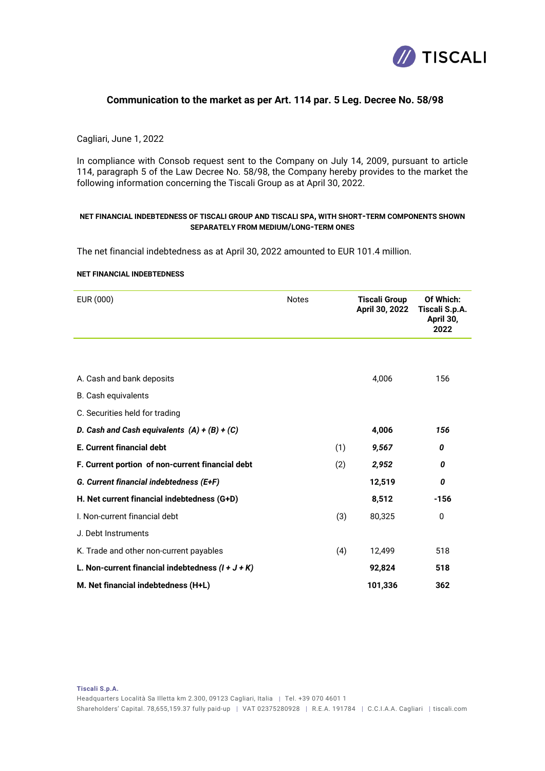

# **Communication to the market as per Art. 114 par. 5 Leg. Decree No. 58/98**

## Cagliari, June 1, 2022

In compliance with Consob request sent to the Company on July 14, 2009, pursuant to article 114, paragraph 5 of the Law Decree No. 58/98, the Company hereby provides to the market the following information concerning the Tiscali Group as at April 30, 2022.

### **NET FINANCIAL INDEBTEDNESS OF TISCALI GROUP AND TISCALI SPA, WITH SHORT-TERM COMPONENTS SHOWN SEPARATELY FROM MEDIUM/LONG-TERM ONES**

The net financial indebtedness as at April 30, 2022 amounted to EUR 101.4 million.

#### **NET FINANCIAL INDEBTEDNESS**

| EUR (000)                                           | <b>Notes</b> |     | <b>Tiscali Group</b><br>April 30, 2022 | Of Which:<br>Tiscali S.p.A. |
|-----------------------------------------------------|--------------|-----|----------------------------------------|-----------------------------|
|                                                     |              |     |                                        | April 30,<br>2022           |
|                                                     |              |     |                                        |                             |
| A. Cash and bank deposits                           |              |     | 4,006                                  | 156                         |
| <b>B.</b> Cash equivalents                          |              |     |                                        |                             |
| C. Securities held for trading                      |              |     |                                        |                             |
| D. Cash and Cash equivalents $(A) + (B) + (C)$      |              |     | 4,006                                  | 156                         |
| E. Current financial debt                           |              | (1) | 9,567                                  | 0                           |
| F. Current portion of non-current financial debt    |              | (2) | 2,952                                  | 0                           |
| G. Current financial indebtedness (E+F)             |              |     | 12,519                                 | 0                           |
| H. Net current financial indebtedness (G+D)         |              |     | 8,512                                  | $-156$                      |
| I. Non-current financial debt                       |              | (3) | 80,325                                 | 0                           |
| J. Debt Instruments                                 |              |     |                                        |                             |
| K. Trade and other non-current payables             |              | (4) | 12,499                                 | 518                         |
| L. Non-current financial indebtedness $(I + J + K)$ |              |     | 92,824                                 | 518                         |
| M. Net financial indebtedness (H+L)                 |              |     | 101,336                                | 362                         |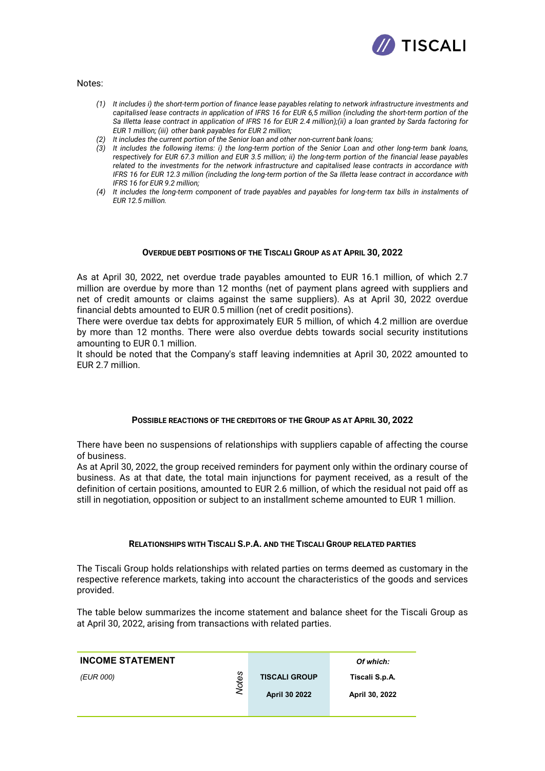

Notes:

- *(1) It includes i) the short-term portion of finance lease payables relating to network infrastructure investments and capitalised lease contracts in application of IFRS 16 for EUR 6,5 million (including the short-term portion of the Sa Illetta lease contract in application of IFRS 16 for EUR 2.4 million);(ii) a loan granted by Sarda factoring for EUR 1 million; (iii) other bank payables for EUR 2 million;*
- *(2) It includes the current portion of the Senior loan and other non-current bank loans;*
- *(3) It includes the following items: i) the long-term portion of the Senior Loan and other long-term bank loans, respectively for EUR 67.3 million and EUR 3.5 million; ii) the long-term portion of the financial lease payables related to the investments for the network infrastructure and capitalised lease contracts in accordance with IFRS 16 for EUR 12.3 million (including the long-term portion of the Sa Illetta lease contract in accordance with IFRS 16 for EUR 9.2 million;*
- *(4) It includes the long-term component of trade payables and payables for long-term tax bills in instalments of EUR 12.5 million.*

### **OVERDUE DEBT POSITIONS OF THE TISCALI GROUP AS AT APRIL 30, 2022**

As at April 30, 2022, net overdue trade payables amounted to EUR 16.1 million, of which 2.7 million are overdue by more than 12 months (net of payment plans agreed with suppliers and net of credit amounts or claims against the same suppliers). As at April 30, 2022 overdue financial debts amounted to EUR 0.5 million (net of credit positions).

There were overdue tax debts for approximately EUR 5 million, of which 4.2 million are overdue by more than 12 months. There were also overdue debts towards social security institutions amounting to EUR 0.1 million.

It should be noted that the Company's staff leaving indemnities at April 30, 2022 amounted to EUR 2.7 million.

## **POSSIBLE REACTIONS OF THE CREDITORS OF THE GROUP AS AT APRIL 30, 2022**

There have been no suspensions of relationships with suppliers capable of affecting the course of business.

As at April 30, 2022, the group received reminders for payment only within the ordinary course of business. As at that date, the total main injunctions for payment received, as a result of the definition of certain positions, amounted to EUR 2.6 million, of which the residual not paid off as still in negotiation, opposition or subject to an installment scheme amounted to EUR 1 million.

## **RELATIONSHIPS WITH TISCALI S.P.A. AND THE TISCALI GROUP RELATED PARTIES**

The Tiscali Group holds relationships with related parties on terms deemed as customary in the respective reference markets, taking into account the characteristics of the goods and services provided.

The table below summarizes the income statement and balance sheet for the Tiscali Group as at April 30, 2022, arising from transactions with related parties.

| <b>INCOME STATEMENT</b> |            |                      | Of which:      |
|-------------------------|------------|----------------------|----------------|
| (EUR 000)               | n<br>Note. | <b>TISCALI GROUP</b> | Tiscali S.p.A. |
|                         |            | April 30 2022        | April 30, 2022 |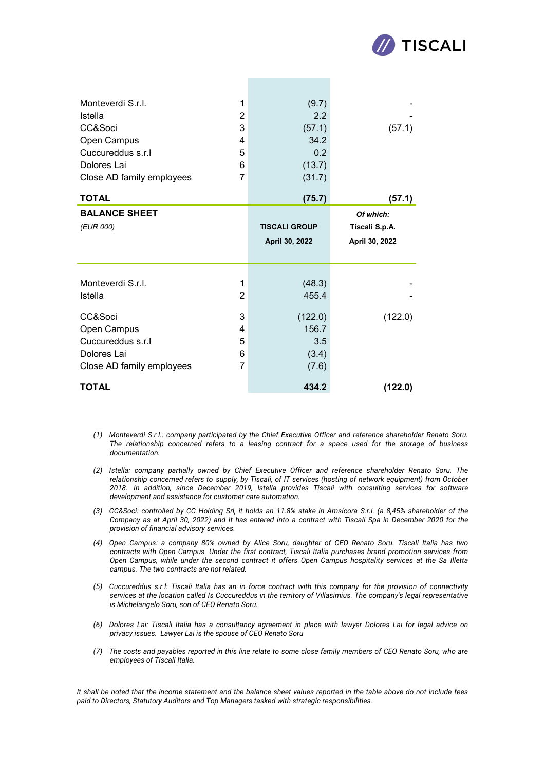

| Monteverdi S.r.I.                 | 1              | (9.7)                                  | (57.1)                                        |
|-----------------------------------|----------------|----------------------------------------|-----------------------------------------------|
| <b>Istella</b>                    | 2              | 2.2                                    |                                               |
| CC&Soci                           | 3              | (57.1)                                 |                                               |
| Open Campus                       | 4              | 34.2                                   |                                               |
| Cuccureddus s.r.l                 | 5              | 0.2                                    |                                               |
| Dolores Lai                       | 6              | (13.7)                                 |                                               |
| Close AD family employees         | $\overline{7}$ | (31.7)                                 |                                               |
| <b>TOTAL</b>                      |                | (75.7)                                 | (57.1)                                        |
| <b>BALANCE SHEET</b><br>(EUR 000) |                | <b>TISCALI GROUP</b><br>April 30, 2022 | Of which:<br>Tiscali S.p.A.<br>April 30, 2022 |
| Monteverdi S.r.I.                 | 1              | (48.3)                                 |                                               |
| Istella                           | 2              | 455.4                                  |                                               |
| CC&Soci                           | 3              | (122.0)                                | (122.0)                                       |
| Open Campus                       | 4              | 156.7                                  |                                               |
| Cuccureddus s.r.l                 | 5              | 3.5                                    |                                               |
| Dolores Lai                       | 6              | (3.4)                                  |                                               |
| Close AD family employees         | 7              | (7.6)                                  |                                               |
| <b>TOTAL</b>                      |                | 434.2                                  | (122.0)                                       |

- *(1) Monteverdi S.r.l.: company participated by the Chief Executive Officer and reference shareholder Renato Soru. The relationship concerned refers to a leasing contract for a space used for the storage of business documentation.*
- *(2) Istella: company partially owned by Chief Executive Officer and reference shareholder Renato Soru. The relationship concerned refers to supply, by Tiscali, of IT services (hosting of network equipment) from October 2018. In addition, since December 2019, Istella provides Tiscali with consulting services for software development and assistance for customer care automation.*
- *(3) CC&Soci: controlled by CC Holding Srl, it holds an 11.8% stake in Amsicora S.r.l. (a 8,45% shareholder of the Company as at April 30, 2022) and it has entered into a contract with Tiscali Spa in December 2020 for the provision of financial advisory services.*
- *(4) Open Campus: a company 80% owned by Alice Soru, daughter of CEO Renato Soru. Tiscali Italia has two contracts with Open Campus. Under the first contract, Tiscali Italia purchases brand promotion services from Open Campus, while under the second contract it offers Open Campus hospitality services at the Sa Illetta campus. The two contracts are not related.*
- *(5) Cuccureddus s.r.l: Tiscali Italia has an in force contract with this company for the provision of connectivity services at the location called Is Cuccureddus in the territory of Villasimius. The company's legal representative is Michelangelo Soru, son of CEO Renato Soru.*
- *(6) Dolores Lai: Tiscali Italia has a consultancy agreement in place with lawyer Dolores Lai for legal advice on privacy issues. Lawyer Lai is the spouse of CEO Renato Soru*
- *(7) The costs and payables reported in this line relate to some close family members of CEO Renato Soru, who are employees of Tiscali Italia.*

*It shall be noted that the income statement and the balance sheet values reported in the table above do not include fees paid to Directors, Statutory Auditors and Top Managers tasked with strategic responsibilities.*